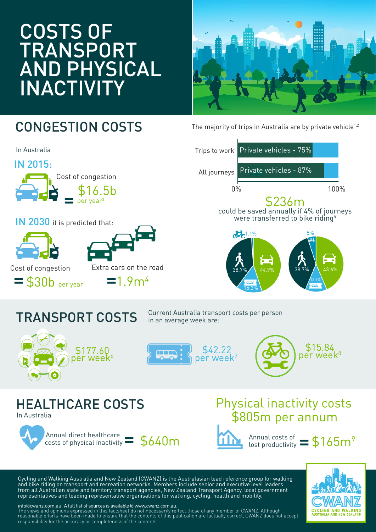# COSTS OF TRANSPORT AND PHYSICAL INACTIVITY



### CONGESTION COSTS



The majority of trips in Australia are by private vehicle<sup>1,2</sup>



## TRANSPORT COSTS

Current Australia transport costs per person in an average week are:







#### HEALTHCARE COSTS In Australia



### \$805m per annum Physical inactivity costs



Annual costs of lost productivity

Cycling and Walking Australia and New Zealand (CWANZ) is the Australasian lead reference group for walking and bike riding on transport and recreation networks. Members include senior and executive level leaders from all Australian state and territory transport agencies, New Zealand Transport Agency, local government representatives and leading representative organisations for walking, cycling, health and mobility.



info@cwanz.com.au. A full list of sources is available @ www.cwanz.com.au. The views and opinions expressed in this factsheet do not necessarily reflect those of any member of CWANZ. Although reasonable efforts have been made to ensure that the contents of this publication are factually correct, CWANZ does not accept responsibility for the accuracy or completeness of the contents.